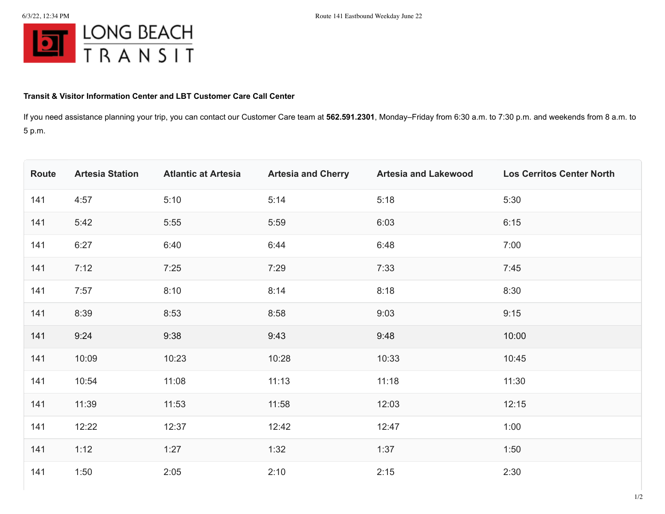

## **Transit & Visitor Information Center and LBT Customer Care Call Center**

If you need assistance planning your trip, you can contact our Customer Care team at **562.591.2301**, Monday–Friday from 6:30 a.m. to 7:30 p.m. and weekends from 8 a.m. to 5 p.m.

| Route | <b>Artesia Station</b> | <b>Atlantic at Artesia</b> | <b>Artesia and Cherry</b> | <b>Artesia and Lakewood</b> | <b>Los Cerritos Center North</b> |
|-------|------------------------|----------------------------|---------------------------|-----------------------------|----------------------------------|
| 141   | 4:57                   | 5:10                       | 5:14                      | 5:18                        | 5:30                             |
| 141   | 5:42                   | 5:55                       | 5:59                      | 6:03                        | 6:15                             |
| 141   | 6:27                   | 6:40                       | 6:44                      | 6:48                        | 7:00                             |
| 141   | 7:12                   | 7:25                       | 7:29                      | 7:33                        | 7:45                             |
| 141   | 7:57                   | 8:10                       | 8:14                      | 8:18                        | 8:30                             |
| 141   | 8:39                   | 8:53                       | 8:58                      | 9:03                        | 9:15                             |
| 141   | 9:24                   | 9:38                       | 9:43                      | 9:48                        | 10:00                            |
| 141   | 10:09                  | 10:23                      | 10:28                     | 10:33                       | 10:45                            |
| 141   | 10:54                  | 11:08                      | 11:13                     | 11:18                       | 11:30                            |
| 141   | 11:39                  | 11:53                      | 11:58                     | 12:03                       | 12:15                            |
| 141   | 12:22                  | 12:37                      | 12:42                     | 12:47                       | 1:00                             |
| 141   | 1:12                   | 1:27                       | 1:32                      | 1:37                        | 1:50                             |
| 141   | 1:50                   | 2:05                       | 2:10                      | 2:15                        | 2:30                             |